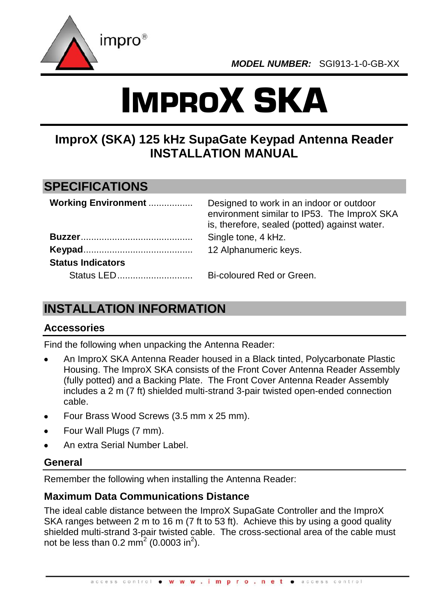

# IMPROX SKA

## **ImproX (SKA) 125 kHz SupaGate Keypad Antenna Reader INSTALLATION MANUAL**

### **SPECIFICATIONS**

| <b>Working Environment </b> | Designed to work in an indoor or outdoor<br>environment similar to IP53. The ImproX SKA<br>is, therefore, sealed (potted) against water. |
|-----------------------------|------------------------------------------------------------------------------------------------------------------------------------------|
|                             | Single tone, 4 kHz.                                                                                                                      |
|                             | 12 Alphanumeric keys.                                                                                                                    |
| <b>Status Indicators</b>    |                                                                                                                                          |
|                             | Bi-coloured Red or Green.                                                                                                                |

# **INSTALLATION INFORMATION**

#### **Accessories**

Find the following when unpacking the Antenna Reader:

- An ImproX SKA Antenna Reader housed in a Black tinted, Polycarbonate Plastic Housing. The ImproX SKA consists of the Front Cover Antenna Reader Assembly (fully potted) and a Backing Plate. The Front Cover Antenna Reader Assembly includes a 2 m (7 ft) shielded multi-strand 3-pair twisted open-ended connection cable.
- Four Brass Wood Screws (3.5 mm x 25 mm).
- Four Wall Plugs (7 mm).
- An extra Serial Number Label.

#### **General**

Remember the following when installing the Antenna Reader:

#### **Maximum Data Communications Distance**

The ideal cable distance between the ImproX SupaGate Controller and the ImproX SKA ranges between 2 m to 16 m (7 ft to 53 ft). Achieve this by using a good quality shielded multi-strand 3-pair twisted cable. The cross-sectional area of the cable must not be less than 0.2 mm<sup>2</sup> (0.0003 in<sup>2</sup>).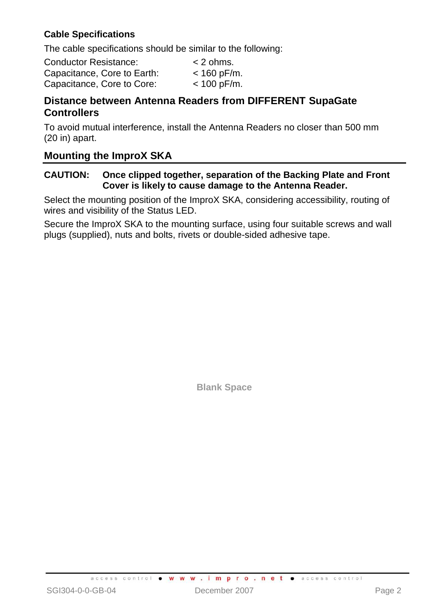#### **Cable Specifications**

The cable specifications should be similar to the following:

| <b>Conductor Resistance:</b> | $<$ 2 ohms.   |
|------------------------------|---------------|
| Capacitance, Core to Earth:  | $< 160$ pF/m. |
| Capacitance, Core to Core:   | $< 100$ pF/m. |

#### **Distance between Antenna Readers from DIFFERENT SupaGate Controllers**

To avoid mutual interference, install the Antenna Readers no closer than 500 mm (20 in) apart.

#### **Mounting the ImproX SKA**

#### **CAUTION: Once clipped together, separation of the Backing Plate and Front Cover is likely to cause damage to the Antenna Reader.**

Select the mounting position of the ImproX SKA, considering accessibility, routing of wires and visibility of the Status LED.

Secure the ImproX SKA to the mounting surface, using four suitable screws and wall plugs (supplied), nuts and bolts, rivets or double-sided adhesive tape.

**Blank Space**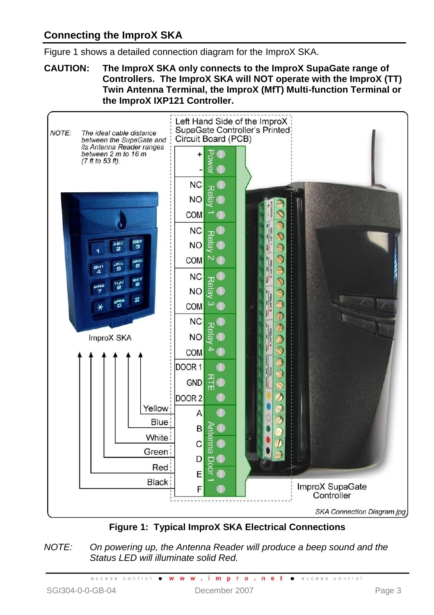#### **Connecting the ImproX SKA**

[Figure 1](#page-2-0) shows a detailed connection diagram for the ImproX SKA.

**CAUTION: The ImproX SKA only connects to the ImproX SupaGate range of Controllers. The ImproX SKA will NOT operate with the ImproX (TT) Twin Antenna Terminal, the ImproX (MfT) Multi-function Terminal or the ImproX IXP121 Controller.**



**Figure 1: Typical ImproX SKA Electrical Connections**

<span id="page-2-0"></span>*NOTE: On powering up, the Antenna Reader will produce a beep sound and the Status LED will illuminate solid Red.*